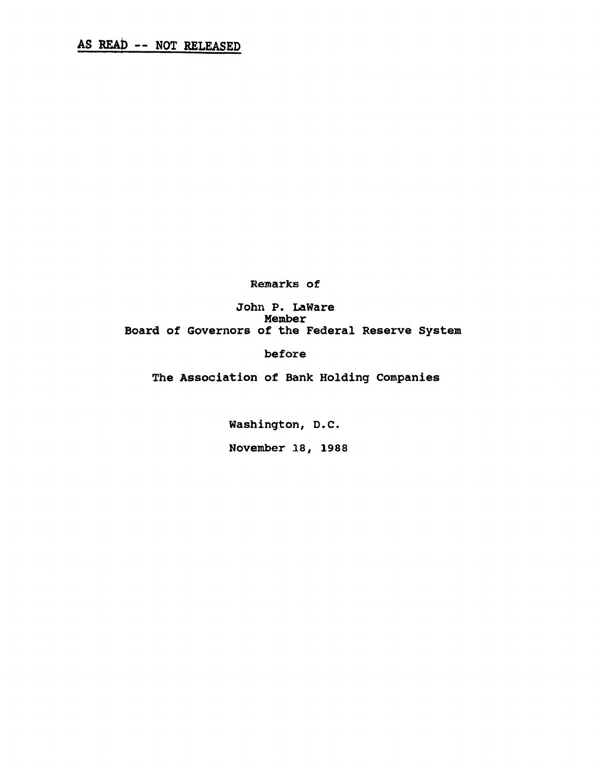Remarks of

John P. LaWare Member Board of Governors of the Federal Reserve System

before

The Association of Bank Holding Companies

Washington, D.C. November 18, 1988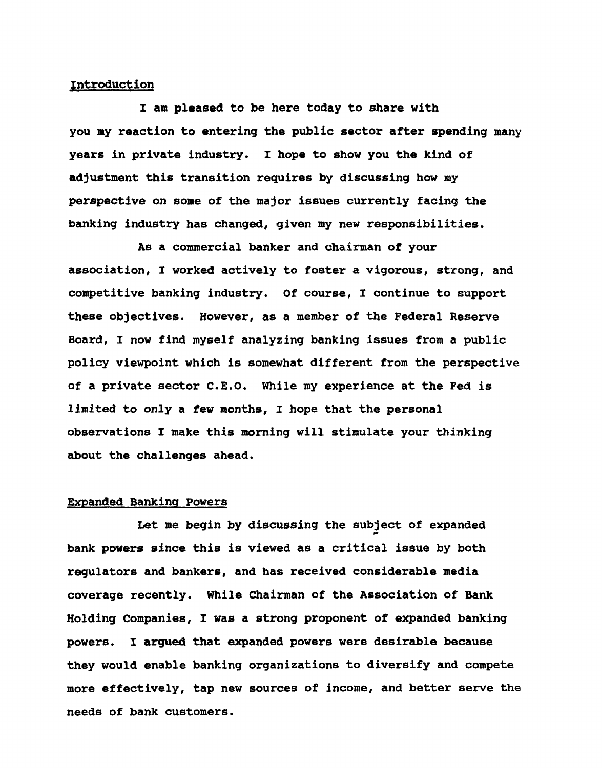# Introduction

I am pleased to be here today to share with you my reaction to entering the public sector after spending many years in private industry. I hope to show you the kind of adjustment this transition requires by discussing how my perspective on some of the major issues currently facing the banking industry has changed, given my new responsibilities.

As a commercial banker and chairman of your association, I worked actively to foster a vigorous, strong, and competitive banking industry. Of course, I continue to support these objectives. However, as a member of the Federal Reserve Board, I now find myself analyzing banking issues from a public policy viewpoint which is somewhat different from the perspective of a private sector C.E.O. While my experience at the Fed is limited to only a few months, I hope that the personal observations I make this morning will stimulate your thinking about the challenges ahead.

# Expanded Banking Powers

Let me begin by discussing the subject of expanded bank powers since this is viewed as a critical issue by both regulators and bankers, and has received considerable media coverage recently. While Chairman of the Association of Bank Holding Companies, I was a strong proponent of expanded banking powers. I argued that expanded powers were desirable because they would enable banking organizations to diversify and compete more effectively, tap new sources of income, and better serve the needs of bank customers.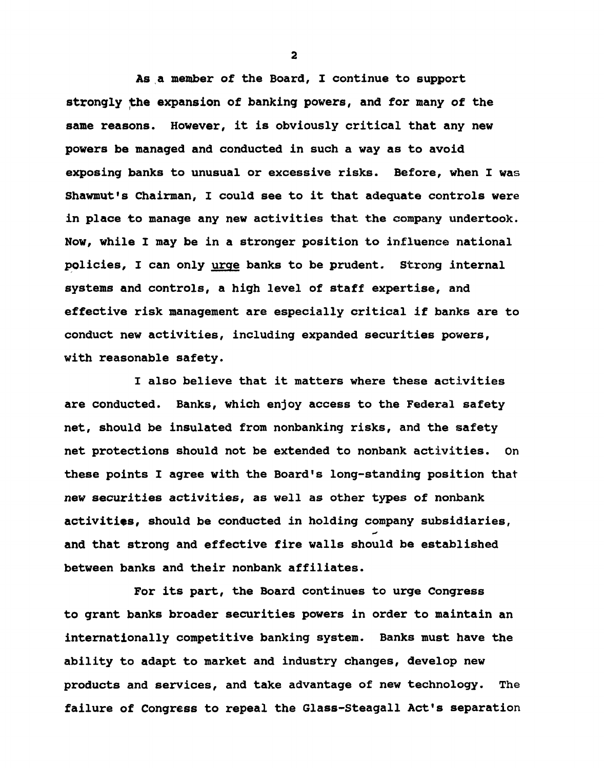As a member of the Board, I continue to support strongly the expansion of banking powers, and for many of the same reasons. However, it is obviously critical that any new powers be managed and conducted in such a way as to avoid exposing banks to unusual or excessive risks. Before, when I was Shawmut's Chairman, I could see to it that adequate controls were in place to manage any new activities that the company undertook. Now, while I may be in a stronger position to influence national policies, I can only urge banks to be prudent. Strong internal systems and controls, a high level of staff expertise, and effective risk management are especially critical if banks are to conduct new activities, including expanded securities powers, with reasonable safety.

I also believe that it matters where these activities are conducted. Banks, which enjoy access to the Federal safety net, should be insulated from nonbanking risks, and the safety net protections should not be extended to nonbank activities. On these points I agree with the Board's long-standing position that new securities activities, as well as other types of nonbank activities, should be conducted in holding company subsidiaries, and that strong and effective fire walls should be established between banks and their nonbank affiliates.

For its part, the Board continues to urge Congress to grant banks broader securities powers in order to maintain an internationally competitive banking system. Banks must have the ability to adapt to market and industry changes, develop new products and services, and take advantage of new technology. The failure of Congress to repeal the Glass-Steagall Act's separation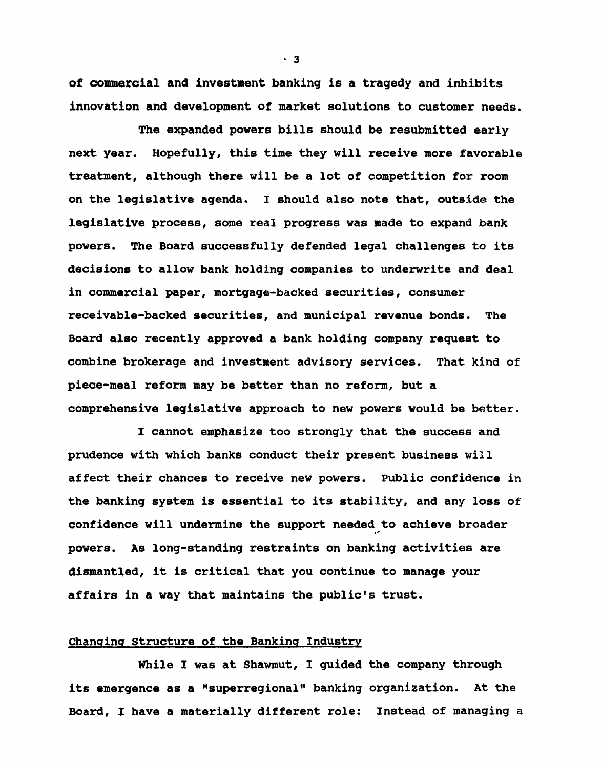of commercial and investment banking is a tragedy and inhibits innovation and development of market solutions to customer needs.

The expanded powers bills should be resubmitted early next year. Hopefully, this time they will receive more favorable treatment, although there will be a lot of competition for room on the legislative agenda. I should also note that, outside the legislative process, some real progress was made to expand bank powers. The Board successfully defended legal challenges to its decisions to allow bank holding companies to underwrite and deal in commercial paper, mortgage-backed securities, consumer receivable-backed securities, and municipal revenue bonds. The Board also recently approved a bank holding company request to combine brokerage and investment advisory services. That kind of piece-meal reform may be better than no reform, but a comprehensive legislative approach to new powers would be better.

I cannot emphasize too strongly that the success and prudence with which banks conduct their present business will affect their chances to receive new powers. Public confidence in the banking system is essential to its stability, and any loss of confidence will undermine the support needed to achieve broader powers. As long-standing restraints on banking activities are dismantled, it is critical that you continue to manage your affairs in a way that maintains the public's trust.

# Changing structure of the Banking Industry

While I was at Shawmut, I guided the company through its emergence as a "superregional'' banking organization. At the Board, I have a materially different role: Instead of managing a

**• 3**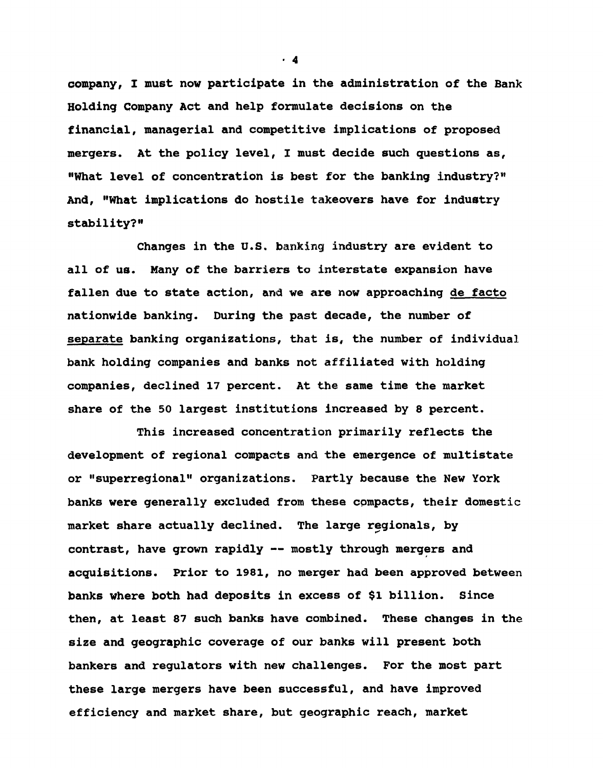company, I must now participate in the administration of the Bank Holding Company Act and help formulate decisions on the financial, managerial and competitive implications of proposed mergers. At the policy level, I must decide such questions as, "What level of concentration is best for the banking industry?" And, "What implications do hostile takeovers have for industry stability?"

Changes in the U.S. banking industry are evident to all of us. Many of the barriers to interstate expansion have fallen due to state action, and we are now approaching de facto nationwide banking. During the past decade, the number of separate banking organizations, that is, the number of individual bank holding companies and banks not affiliated with holding companies, declined 17 percent. At the same time the market share of the 50 largest institutions increased by 8 percent.

This increased concentration primarily reflects the development of regional compacts and the emergence of multistate or "superregional" organizations. Partly because the New York banks were generally excluded from these compacts, their domestic market share actually declined. The large regionals, by contrast, have grown rapidly — mostly through mergers and acquisitions. Prior to 1981, no merger had been approved between banks where both had deposits in excess of \$1 billion. Since then, at least 87 such banks have combined. These changes in the size and geographic coverage of our banks will present both bankers and regulators with new challenges. For the most part these large mergers have been successful, and have improved efficiency and market share, but geographic reach, market

**■ 4**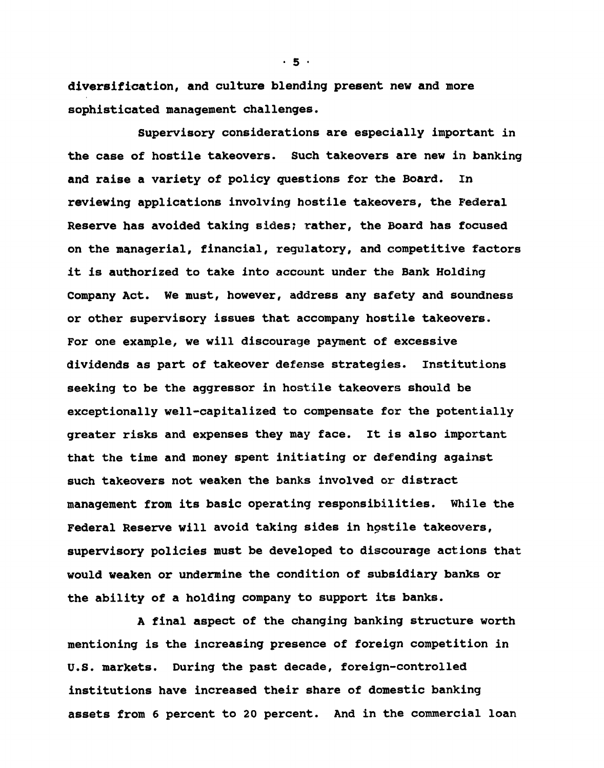diversification, and culture blending present new and more sophisticated management challenges.

Supervisory considerations are especially important in the case of hostile takeovers. Such takeovers are new in banking and raise a variety of policy questions for the Board. In reviewing applications involving hostile takeovers, the Federal Reserve has avoided taking sides; rather, the Board has focused on the managerial, financial, regulatory, and competitive factors it is authorized to take into account under the Bank Holding Company Act. We must, however, address any safety and soundness or other supervisory issues that accompany hostile takeovers. For one example, we will discourage payment of excessive dividends as part of takeover defense strategies. Institutions seeking to be the aggressor in hostile takeovers should be exceptionally well-capitalized to compensate for the potentially greater risks and expenses they may face. It is also important that the time and money spent initiating or defending against such takeovers not weaken the banks involved or distract management from its basic operating responsibilities. While the Federal Reserve will avoid taking sides in hostile takeovers, supervisory policies must be developed to discourage actions that would weaken or undermine the condition of subsidiary banks or the ability of a holding company to support its banks.

A final aspect of the changing banking structure worth mentioning is the increasing presence of foreign competition in U.S. markets. During the past decade, foreign-controlled institutions have increased their share of domestic banking assets from 6 percent to 20 percent. And in the commercial loan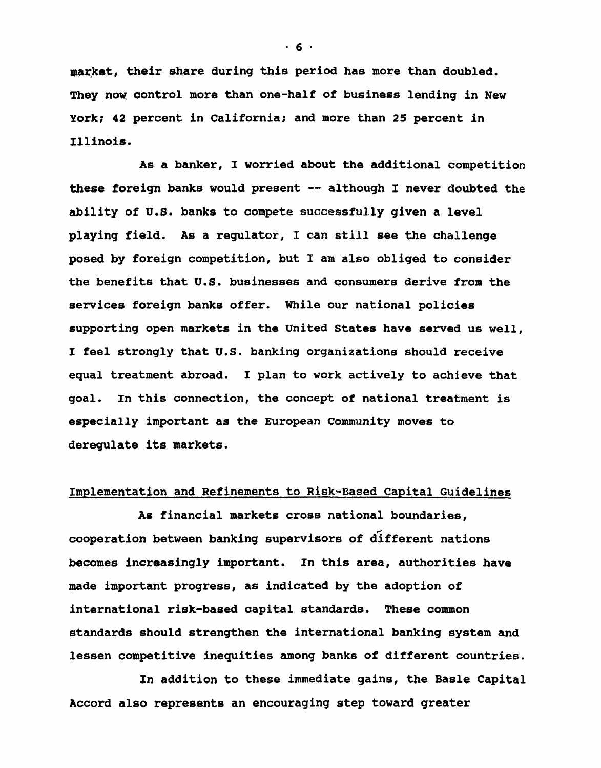market, their share during this period has more than doubled. They *nav,* control more than one-half of business lending in New York; 42 percent in California; and more than 25 percent in Illinois.

As a banker, I worried about the additional competition these foreign banks would present — although I never doubted the ability of U.S. banks to compete successfully given a level playing field. As a regulator, 1 can still see the challenge posed by foreign competition, but I am also obliged to consider the benefits that U.S. businesses and consumers derive from the services foreign banks offer. While our national policies supporting open markets in the United States have served us well, I feel strongly that U.S. banking organizations should receive equal treatment abroad. I plan to work actively to achieve that goal. In this connection, the concept of national treatment is especially important as the European Community moves to deregulate its markets.

#### Implementation and Refinements to Risk-Based Capital Guidelines

As financial markets cross national boundaries, cooperation between banking supervisors of different nations becomes increasingly important. In this area, authorities have made important progress, as indicated by the adoption of international risk-based capital standards. These common standards should strengthen the international banking system and lessen competitive inequities among banks of different countries.

In addition to these immediate gains, the Basle Capital Accord also represents an encouraging step toward greater

**■ 6 ■**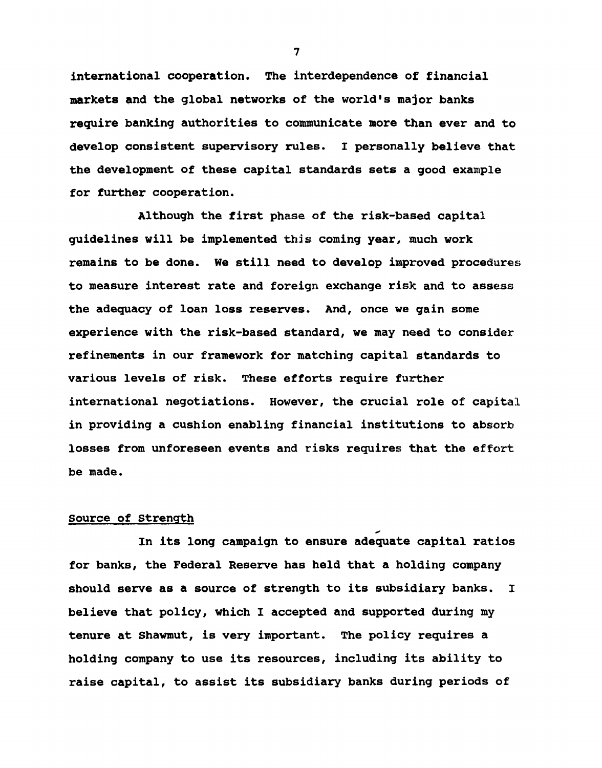international cooperation. The interdependence of financial markets and the global networks of the world's major banks require banking authorities to communicate more than ever and to develop consistent supervisory rules. I personally believe that the development of these capital standards sets a good example for further cooperation.

Although the first phase of the risk-based capital guidelines will be implemented this coming year, much work remains to be done. We still need to develop improved procedures to measure interest rate and foreign exchange risk and to assess the adequacy of loan loss reserves. And, once we gain some experience with the risk-based standard, we may need to consider refinements in our framework for matching capital standards to various levels of risk. These efforts require further international negotiations. However, the crucial role of capital in providing a cushion enabling financial institutions to absorb losses from unforeseen events and risks requires that the effort be made.

#### Source of strength

In its long campaign to ensure adequate capital ratios for banks, the Federal Reserve has held that a holding company should serve as a source of strength to its subsidiary banks. I believe that policy, which I accepted and supported during my tenure at Shawmut, is very important. The policy requires a holding company to use its resources, including its ability to raise capital, to assist its subsidiary banks during periods of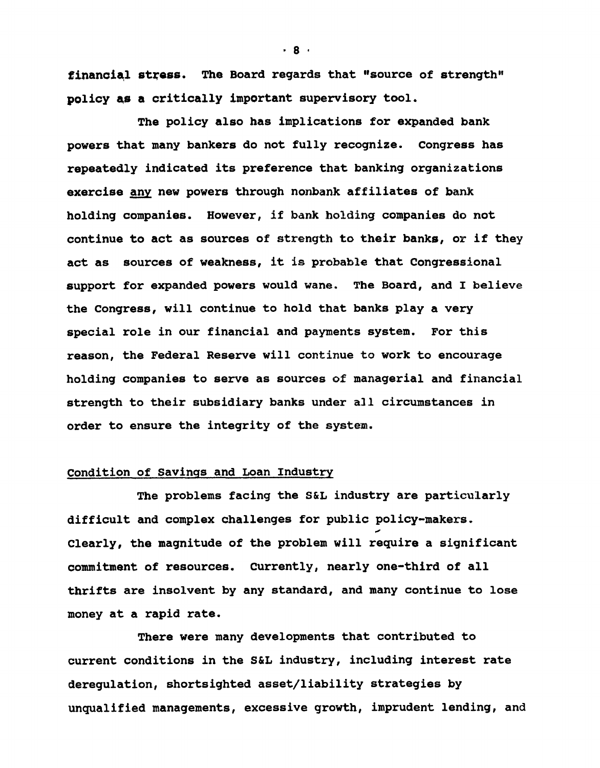financial stress. The Board regards that "source of strength" policy as a critically important supervisory tool.

The policy also has implications for expanded bank powers that many bankers do not fully recognize. Congress has repeatedly indicated its preference that banking organizations exercise any new powers through nonbank affiliates of bank holding companies. However, if bank holding companies do not continue to act as sources of strength to their banks, or if they act as sources of weakness, it is probable that Congressional support for expanded powers would wane. The Board, and I believe the Congress, will continue to hold that banks play a very special role in our financial and payments system. For this reason, the Federal Reserve will continue to work to encourage holding companies to serve as sources of managerial and financial strength to their subsidiary banks under all circumstances in order to ensure the integrity of the system.

# Condition of Savings and Loan Industry

The problems facing the S&L industry are particularly difficult and complex challenges for public policy-makers. Clearly, the magnitude of the problem will require a significant commitment of resources. Currently, nearly one-third of all thrifts are insolvent by any standard, and many continue to lose money at a rapid rate.

There were many developments that contributed to current conditions in the S&L industry, including interest rate deregulation, shortsighted asset/liability strategies by unqualified managements, excessive growth, imprudent lending, and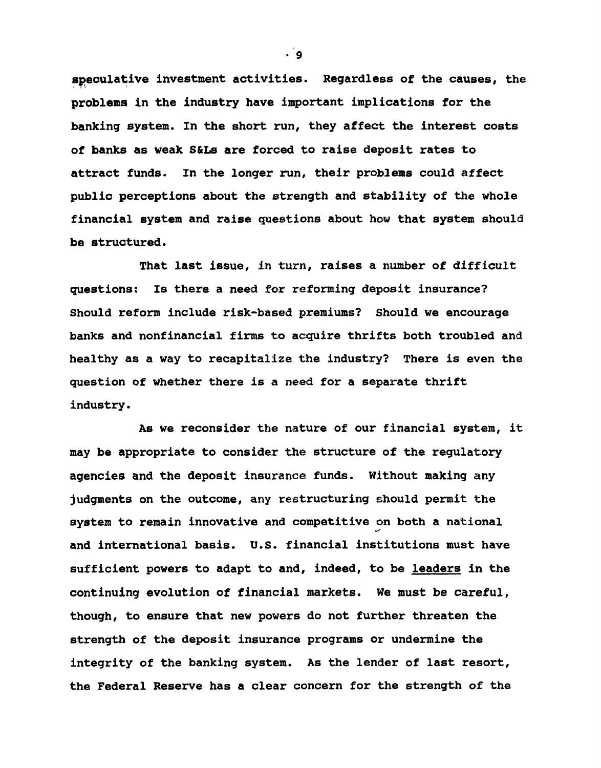speculative investment activities. Regardless of the causes, the problems in the industry have important implications for the banking system. In the short run, they affect the interest costs of banks as weak S&Ls are forced to raise deposit rates to attract funds. In the longer run, their problems could affect public perceptions about the strength and stability of the whole financial system and raise questions about how that system should be structured.

That last issue, in turn, raises a number of difficult questions: Is there a need for reforming deposit insurance? Should reform include risk-based premiums? Should we encourage banks and nonfinancial firms to acquire thrifts both troubled and healthy as a way to recapitalize the industry? There is even the question of whether there is a need for a separate thrift industry.

As we reconsider the nature of our financial system, it may be appropriate to consider the structure of the regulatory agencies and the deposit insurance funds. Without making any judgments on the outcome, any restructuring should permit the system to remain innovative and competitive on both a national and international basis. U.S. financial institutions must have sufficient powers to adapt to and, indeed, to be leaders in the continuing evolution of financial markets. We must be careful, though, to ensure that new powers do not further threaten the strength of the deposit insurance programs or undermine the integrity of the banking system. As the lender of last resort, the Federal Reserve has a clear concern for the strength of the

ູ່ຊ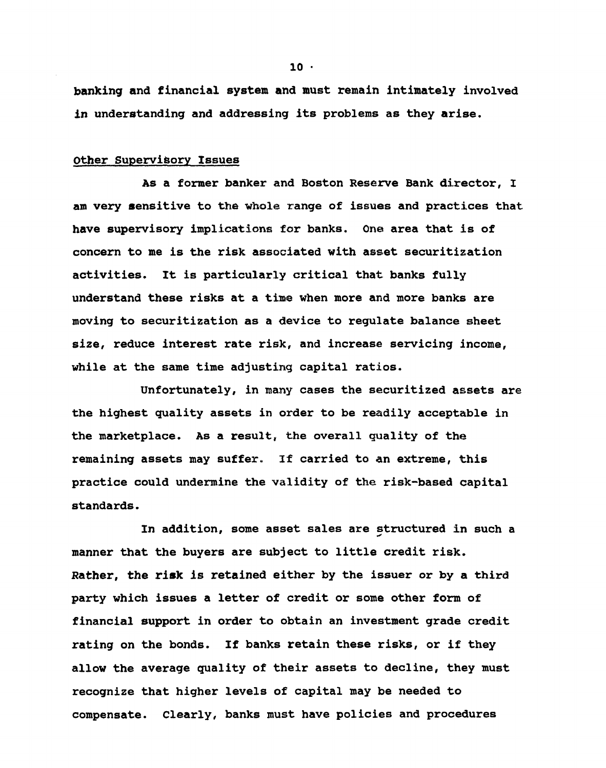banking and financial system and must remain intimately involved in understanding and addressing its problems as they arise.

#### Other supervisory Issues

As a former banker and Boston Reserve Bank director, I am very sensitive to the whole range of issues and practices that have supervisory implications for banks. One area that is of concern to me is the risk associated with asset securitization activities. It is particularly critical that banks fully understand these risks at a time when more and more banks are moving to securitization as a device to regulate balance sheet size, reduce interest rate risk, and increase servicing income, while at the same time adjusting capital ratios.

Unfortunately, in many cases the securitized assets are the highest quality assets in order to be readily acceptable in the marketplace. As a result, the overall guality of the remaining assets may suffer. If carried to an extreme, this practice could undermine the validity of the risk-based capital standards.

In addition, some asset sales are structured in such a manner that the buyers are subject to little credit risk. Rather, the risk is retained either by the issuer or by a third party which issues a letter of credit or some other form of financial support in order to obtain an investment grade credit rating on the bonds. If banks retain these risks, or if they allow the average quality of their assets to decline, they must recognize that higher levels of capital may be needed to compensate. Clearly, banks must have policies and procedures

 $10 -$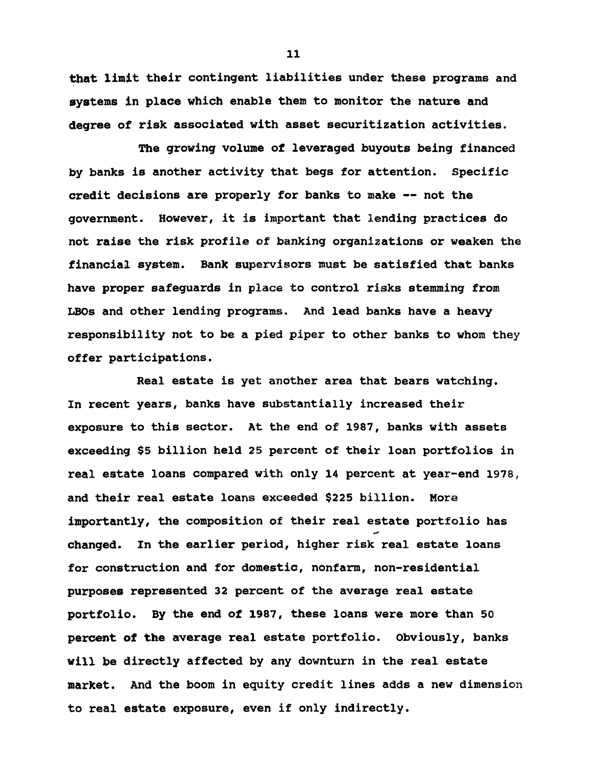that limit their contingent liabilities under these programs and systems in place which enable them to monitor the nature and degree of risk associated with asset securitization activities.

The growing volume of leveraged buyouts being financed by banks is another activity that begs for attention. Specific credit decisions are properly for banks to make — not the government. However, it is important that lending practices do not raise the risk profile of banking organizations or weaken the financial system. Bank supervisors must be satisfied that banks have proper safeguards in place to control risks stemming from LBOs and other lending programs. And lead banks have a heavy responsibility not to be a pied piper to other banks to whom they offer participations.

Real estate is yet another area that bears watching. In recent years, banks have substantially increased their exposure to this sector. At the end of 1987, banks with assets exceeding \$5 billion held 25 percent of their loan portfolios in real estate loans compared with only 14 percent at year-end 1978, and their real estate loans exceeded \$225 billion. More importantly, the composition of their real estate portfolio has changed. In the earlier period, higher risk real estate loans for construction and for domestic, nonfarm, non-residential purposes represented 32 percent of the average real estate portfolio. By the end of 1987, these loans were more than 50 percent of the average real estate portfolio. Obviously, banks will be directly affected by any downturn in the real estate market. And the boom in equity credit lines adds a new dimension to real estate exposure, even if only indirectly.